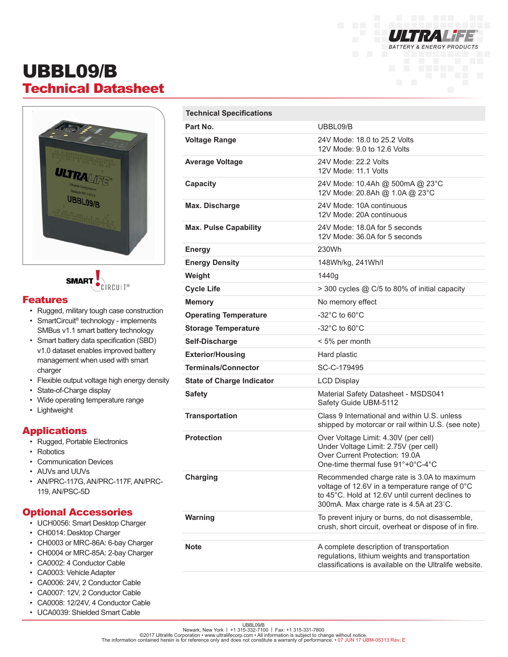

# UBBL09/B Technical Datasheet





#### Features

- Rugged, military tough case construction
- SmartCircuit® technology implements SMBus v1.1 smart battery technology
- Smart battery data specification (SBD) v1.0 dataset enables improved battery management when used with smart charger
- Flexible output voltage high energy density
- State-of-Charge display
- Wide operating temperature range
- Lightweight

### Applications

- Rugged, Portable Electronics
- Robotics
- Communication Devices
- AUVs and UUVs
- AN/PRC-117G, AN/PRC-117F, AN/PRC-119, AN/PSC-5D

#### Optional Accessories

- UCH0056: Smart Desktop Charger
- CH0014: Desktop Charger
- CH0003 or MRC-86A: 6-bay Charger
- CH0004 or MRC-85A: 2-bay Charger
- CA0002: 4 Conductor Cable
- CA0003: Vehicle Adapter
- CA0006: 24V, 2 Conductor Cable
- CA0007: 12V, 2 Conductor Cable
- CA0008: 12/24V, 4 Conductor Cable
- UCA0039: Shielded Smart Cable

| <b>Technical Specifications</b>  |                                                                                                                                                                                             |
|----------------------------------|---------------------------------------------------------------------------------------------------------------------------------------------------------------------------------------------|
| Part No.                         | UBBL09/B                                                                                                                                                                                    |
| <b>Voltage Range</b>             | 24V Mode: 18.0 to 25.2 Volts<br>12V Mode: 9.0 to 12.6 Volts                                                                                                                                 |
| <b>Average Voltage</b>           | 24V Mode: 22.2 Volts<br>12V Mode: 11.1 Volts                                                                                                                                                |
| Capacity                         | 24V Mode: 10.4Ah @ 500mA @ 23°C<br>12V Mode: 20.8Ah @ 1.0A @ 23°C                                                                                                                           |
| Max. Discharge                   | 24V Mode: 10A continuous<br>12V Mode: 20A continuous                                                                                                                                        |
| <b>Max. Pulse Capability</b>     | 24V Mode: 18.0A for 5 seconds<br>12V Mode: 36.0A for 5 seconds                                                                                                                              |
| <b>Energy</b>                    | 230Wh                                                                                                                                                                                       |
| <b>Energy Density</b>            | 148Wh/kg, 241Wh/l                                                                                                                                                                           |
| Weight                           | 1440q                                                                                                                                                                                       |
| <b>Cycle Life</b>                | > 300 cycles @ C/5 to 80% of initial capacity                                                                                                                                               |
| <b>Memory</b>                    | No memory effect                                                                                                                                                                            |
| <b>Operating Temperature</b>     | $-32^{\circ}$ C to 60 $^{\circ}$ C                                                                                                                                                          |
| <b>Storage Temperature</b>       | $-32^{\circ}$ C to 60 $^{\circ}$ C                                                                                                                                                          |
| Self-Discharge                   | < 5% per month                                                                                                                                                                              |
| <b>Exterior/Housing</b>          | Hard plastic                                                                                                                                                                                |
| <b>Terminals/Connector</b>       | SC-C-179495                                                                                                                                                                                 |
| <b>State of Charge Indicator</b> | <b>LCD Display</b>                                                                                                                                                                          |
| <b>Safety</b>                    | Material Safety Datasheet - MSDS041<br>Safety Guide UBM-5112                                                                                                                                |
| <b>Transportation</b>            | Class 9 International and within U.S. unless<br>shipped by motorcar or rail within U.S. (see note)                                                                                          |
| <b>Protection</b>                | Over Voltage Limit: 4.30V (per cell)<br>Under Voltage Limit: 2.75V (per cell)<br>Over Current Protection: 19.0A<br>One-time thermal fuse 91°+0°C-4°C                                        |
| <b>Charging</b>                  | Recommended charge rate is 3.0A to maximum<br>voltage of 12.6V in a temperature range of 0°C<br>to 45°C. Hold at 12.6V until current declines to<br>300mA. Max charge rate is 4.5A at 23°C. |
| <b>Warning</b>                   | To prevent injury or burns, do not disassemble,<br>crush, short circuit, overheat or dispose of in fire.                                                                                    |
| <b>Note</b>                      | A complete description of transportation<br>regulations, lithium weights and transportation<br>classifications is available on the Ultralife website.                                       |

UBBL09/B<br>Newark, New York | +1 315-331-7 315-331-7800<br>The information contained herein is for reference only and does not constitute a warranty of performance. • 07 JUN 17 UBM-05313 Rev: E<br>The information contained herein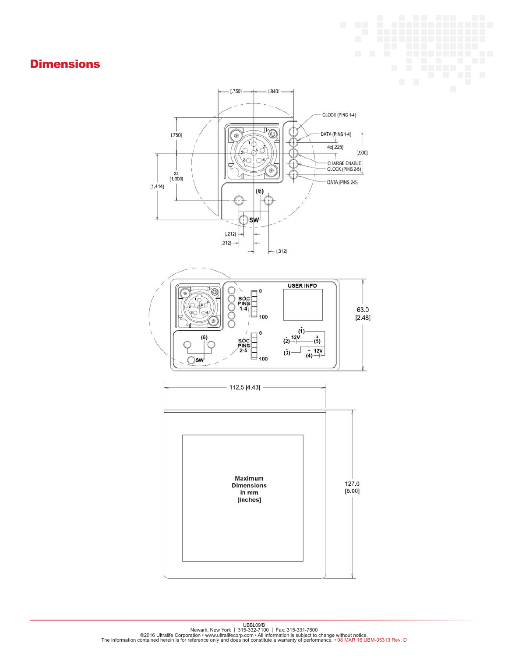# **Dimensions**